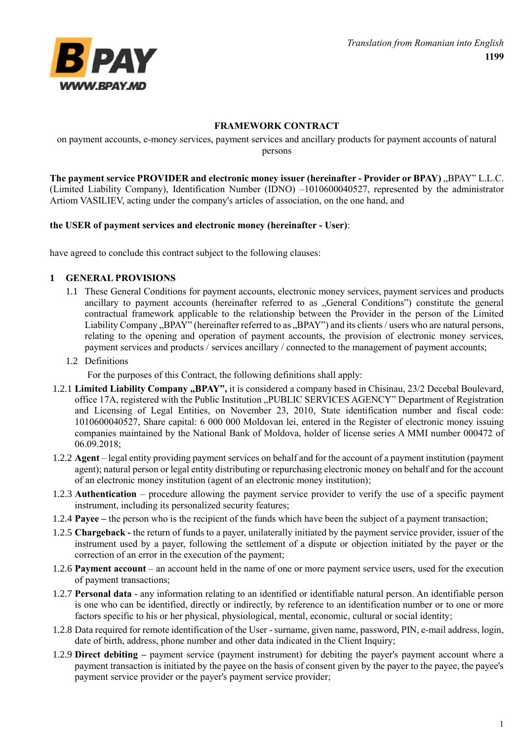

## **FRAMEWORK CONTRACT**

on payment accounts, e-money services, payment services and ancillary products for payment accounts of natural persons

The payment service PROVIDER and electronic money issuer (hereinafter - Provider or BPAY) "BPAY" L.L.C. (Limited Liability Company), Identification Number (IDNO) –1010600040527, represented by the administrator Artiom VASILIEV, acting under the company's articles of association, on the one hand, and

#### **the USER of payment services and electronic money (hereinafter - User)**:

have agreed to conclude this contract subject to the following clauses:

#### **1 GENERAL PROVISIONS**

- 1.1 These General Conditions for payment accounts, electronic money services, payment services and products ancillary to payment accounts (hereinafter referred to as "General Conditions") constitute the general contractual framework applicable to the relationship between the Provider in the person of the Limited Liability Company "BPAY" (hereinafter referred to as "BPAY") and its clients / users who are natural persons, relating to the opening and operation of payment accounts, the provision of electronic money services, payment services and products / services ancillary / connected to the management of payment accounts;
- 1.2 Definitions

For the purposes of this Contract, the following definitions shall apply:

- 1.2.1 **Limited Liability Company "BPAY",** it is considered a company based in Chisinau, 23/2 Decebal Boulevard, office 17A, registered with the Public Institution "PUBLIC SERVICES AGENCY" Department of Registration and Licensing of Legal Entities, on November 23, 2010, State identification number and fiscal code: 1010600040527, Share capital: 6 000 000 Moldovan lei, entered in the Register of electronic money issuing companies maintained by the National Bank of Moldova, holder of license series A MMI number 000472 of 06.09.2018;
- 1.2.2 **Agent** legal entity providing payment services on behalf and for the account of a payment institution (payment agent); natural person or legal entity distributing or repurchasing electronic money on behalf and for the account of an electronic money institution (agent of an electronic money institution);
- 1.2.3 **Authentication**  procedure allowing the payment service provider to verify the use of a specific payment instrument, including its personalized security features;
- 1.2.4 **Payee –** the person who is the recipient of the funds which have been the subject of a payment transaction;
- 1.2.5 **Chargeback -** the return of funds to a payer, unilaterally initiated by the payment service provider, issuer of the instrument used by a payer, following the settlement of a dispute or objection initiated by the payer or the correction of an error in the execution of the payment;
- 1.2.6 **Payment account** an account held in the name of one or more payment service users, used for the execution of payment transactions;
- 1.2.7 **Personal data** any information relating to an identified or identifiable natural person. An identifiable person is one who can be identified, directly or indirectly, by reference to an identification number or to one or more factors specific to his or her physical, physiological, mental, economic, cultural or social identity;
- 1.2.8 Data required for remote identification of the User surname, given name, password, PIN, e-mail address, login, date of birth, address, phone number and other data indicated in the Client Inquiry;
- 1.2.9 **Direct debiting –** payment service (payment instrument) for debiting the payer's payment account where a payment transaction is initiated by the payee on the basis of consent given by the payer to the payee, the payee's payment service provider or the payer's payment service provider;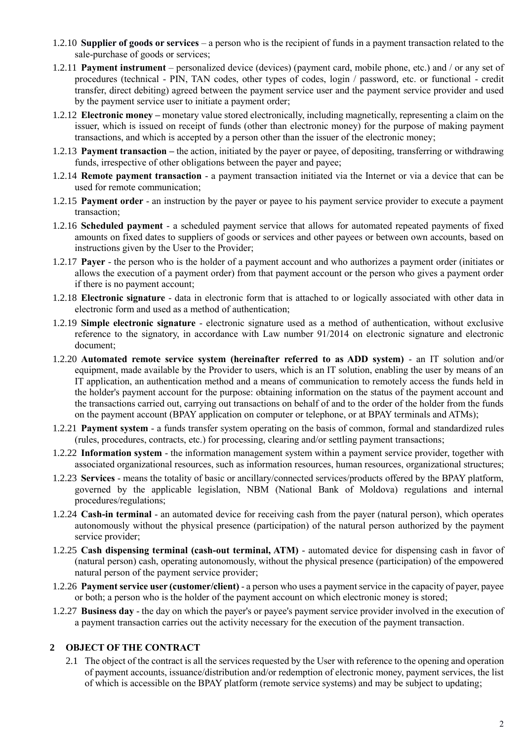- 1.2.10 **Supplier of goods or services** a person who is the recipient of funds in a payment transaction related to the sale-purchase of goods or services;
- 1.2.11 **Payment instrument** personalized device (devices) (payment card, mobile phone, etc.) and / or any set of procedures (technical - PIN, TAN codes, other types of codes, login / password, etc. or functional - credit transfer, direct debiting) agreed between the payment service user and the payment service provider and used by the payment service user to initiate a payment order;
- 1.2.12 **Electronic money –** monetary value stored electronically, including magnetically, representing a claim on the issuer, which is issued on receipt of funds (other than electronic money) for the purpose of making payment transactions, and which is accepted by a person other than the issuer of the electronic money;
- 1.2.13 **Payment transaction –** the action, initiated by the payer or payee, of depositing, transferring or withdrawing funds, irrespective of other obligations between the payer and payee;
- 1.2.14 **Remote payment transaction** a payment transaction initiated via the Internet or via a device that can be used for remote communication;
- 1.2.15 **Payment order** an instruction by the payer or payee to his payment service provider to execute a payment transaction;
- 1.2.16 **Scheduled payment** a scheduled payment service that allows for automated repeated payments of fixed amounts on fixed dates to suppliers of goods or services and other payees or between own accounts, based on instructions given by the User to the Provider;
- 1.2.17 **Payer** the person who is the holder of a payment account and who authorizes a payment order (initiates or allows the execution of a payment order) from that payment account or the person who gives a payment order if there is no payment account;
- 1.2.18 **Electronic signature** data in electronic form that is attached to or logically associated with other data in electronic form and used as a method of authentication;
- 1.2.19 **Simple electronic signature** electronic signature used as a method of authentication, without exclusive reference to the signatory, in accordance with Law number 91/2014 on electronic signature and electronic document;
- 1.2.20 **Automated remote service system (hereinafter referred to as ADD system)** an IT solution and/or equipment, made available by the Provider to users, which is an IT solution, enabling the user by means of an IT application, an authentication method and a means of communication to remotely access the funds held in the holder's payment account for the purpose: obtaining information on the status of the payment account and the transactions carried out, carrying out transactions on behalf of and to the order of the holder from the funds on the payment account (BPAY application on computer or telephone, or at BPAY terminals and ATMs);
- 1.2.21 **Payment system** a funds transfer system operating on the basis of common, formal and standardized rules (rules, procedures, contracts, etc.) for processing, clearing and/or settling payment transactions;
- 1.2.22 **Information system** the information management system within a payment service provider, together with associated organizational resources, such as information resources, human resources, organizational structures;
- 1.2.23 **Services** means the totality of basic or ancillary/connected services/products offered by the BPAY platform, governed by the applicable legislation, NBM (National Bank of Moldova) regulations and internal procedures/regulations;
- 1.2.24 **Cash-in terminal** an automated device for receiving cash from the payer (natural person), which operates autonomously without the physical presence (participation) of the natural person authorized by the payment service provider;
- 1.2.25 **Cash dispensing terminal (cash-out terminal, ATM)**  automated device for dispensing cash in favor of (natural person) cash, operating autonomously, without the physical presence (participation) of the empowered natural person of the payment service provider;
- 1.2.26 **Payment service user (customer/client)** a person who uses a payment service in the capacity of payer, payee or both; a person who is the holder of the payment account on which electronic money is stored;
- 1.2.27 **Business day** the day on which the payer's or payee's payment service provider involved in the execution of a payment transaction carries out the activity necessary for the execution of the payment transaction.

# **2 OBJECT OF THE CONTRACT**

2.1 The object of the contract is all the services requested by the User with reference to the opening and operation of payment accounts, issuance/distribution and/or redemption of electronic money, payment services, the list of which is accessible on the BPAY platform (remote service systems) and may be subject to updating;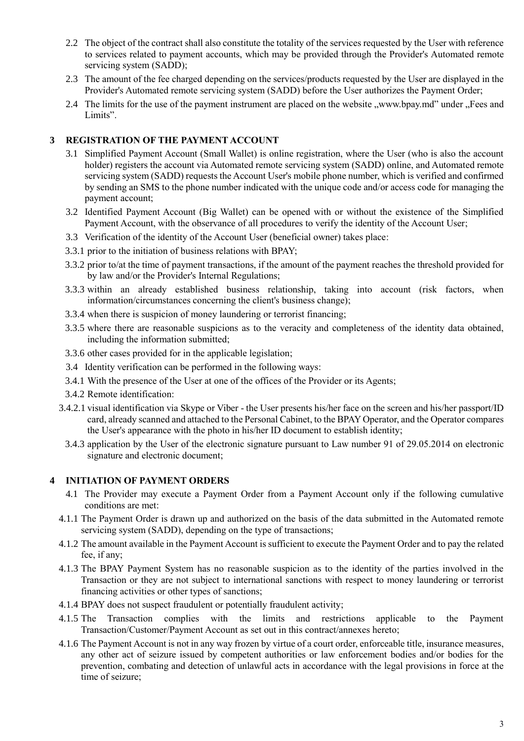- 2.2 The object of the contract shall also constitute the totality of the services requested by the User with reference to services related to payment accounts, which may be provided through the Provider's Automated remote servicing system (SADD);
- 2.3 The amount of the fee charged depending on the services/products requested by the User are displayed in the Provider's Automated remote servicing system (SADD) before the User authorizes the Payment Order;
- 2.4 The limits for the use of the payment instrument are placed on the website "www.bpay.md" under "Fees and Limits"

## **3 REGISTRATION OF THE PAYMENT ACCOUNT**

- 3.1 Simplified Payment Account (Small Wallet) is online registration, where the User (who is also the account holder) registers the account via Automated remote servicing system (SADD) online, and Automated remote servicing system (SADD) requests the Account User's mobile phone number, which is verified and confirmed by sending an SMS to the phone number indicated with the unique code and/or access code for managing the payment account;
- 3.2 Identified Payment Account (Big Wallet) can be opened with or without the existence of the Simplified Payment Account, with the observance of all procedures to verify the identity of the Account User;
- 3.3 Verification of the identity of the Account User (beneficial owner) takes place:
- 3.3.1 prior to the initiation of business relations with BPAY;
- 3.3.2 prior to/at the time of payment transactions, if the amount of the payment reaches the threshold provided for by law and/or the Provider's Internal Regulations;
- 3.3.3 within an already established business relationship, taking into account (risk factors, when information/circumstances concerning the client's business change);
- 3.3.4 when there is suspicion of money laundering or terrorist financing;
- 3.3.5 where there are reasonable suspicions as to the veracity and completeness of the identity data obtained, including the information submitted;
- 3.3.6 other cases provided for in the applicable legislation;
- 3.4 Identity verification can be performed in the following ways:
- 3.4.1 With the presence of the User at one of the offices of the Provider or its Agents;
- 3.4.2 Remote identification:
- 3.4.2.1 visual identification via Skype or Viber the User presents his/her face on the screen and his/her passport/ID card, already scanned and attached to the Personal Cabinet, to the BPAY Operator, and the Operator compares the User's appearance with the photo in his/her ID document to establish identity;
- 3.4.3 application by the User of the electronic signature pursuant to Law number 91 of 29.05.2014 on electronic signature and electronic document;

#### **4 INITIATION OF PAYMENT ORDERS**

- 4.1 The Provider may execute a Payment Order from a Payment Account only if the following cumulative conditions are met:
- 4.1.1 The Payment Order is drawn up and authorized on the basis of the data submitted in the Automated remote servicing system (SADD), depending on the type of transactions;
- 4.1.2 The amount available in the Payment Account is sufficient to execute the Payment Order and to pay the related fee, if any;
- 4.1.3 The BPAY Payment System has no reasonable suspicion as to the identity of the parties involved in the Transaction or they are not subject to international sanctions with respect to money laundering or terrorist financing activities or other types of sanctions;
- 4.1.4 BPAY does not suspect fraudulent or potentially fraudulent activity;
- 4.1.5 The Transaction complies with the limits and restrictions applicable to the Payment Transaction/Customer/Payment Account as set out in this contract/annexes hereto;
- 4.1.6 The Payment Account is not in any way frozen by virtue of a court order, enforceable title, insurance measures, any other act of seizure issued by competent authorities or law enforcement bodies and/or bodies for the prevention, combating and detection of unlawful acts in accordance with the legal provisions in force at the time of seizure;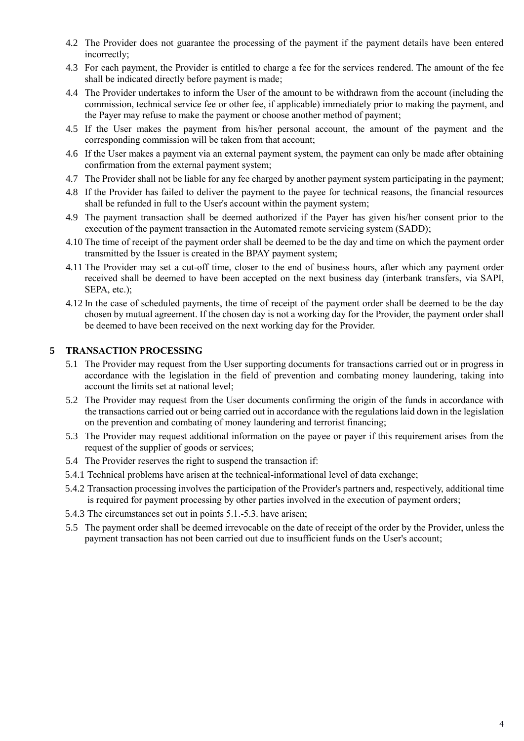- 4.2 The Provider does not guarantee the processing of the payment if the payment details have been entered incorrectly;
- 4.3 For each payment, the Provider is entitled to charge a fee for the services rendered. The amount of the fee shall be indicated directly before payment is made;
- 4.4 The Provider undertakes to inform the User of the amount to be withdrawn from the account (including the commission, technical service fee or other fee, if applicable) immediately prior to making the payment, and the Payer may refuse to make the payment or choose another method of payment;
- 4.5 If the User makes the payment from his/her personal account, the amount of the payment and the corresponding commission will be taken from that account;
- 4.6 If the User makes a payment via an external payment system, the payment can only be made after obtaining confirmation from the external payment system;
- 4.7 The Provider shall not be liable for any fee charged by another payment system participating in the payment;
- 4.8 If the Provider has failed to deliver the payment to the payee for technical reasons, the financial resources shall be refunded in full to the User's account within the payment system;
- 4.9 The payment transaction shall be deemed authorized if the Payer has given his/her consent prior to the execution of the payment transaction in the Automated remote servicing system (SADD);
- 4.10 The time of receipt of the payment order shall be deemed to be the day and time on which the payment order transmitted by the Issuer is created in the BPAY payment system;
- 4.11 The Provider may set a cut-off time, closer to the end of business hours, after which any payment order received shall be deemed to have been accepted on the next business day (interbank transfers, via SAPI, SEPA, etc.);
- 4.12 In the case of scheduled payments, the time of receipt of the payment order shall be deemed to be the day chosen by mutual agreement. If the chosen day is not a working day for the Provider, the payment order shall be deemed to have been received on the next working day for the Provider.

# **5 TRANSACTION PROCESSING**

- 5.1 The Provider may request from the User supporting documents for transactions carried out or in progress in accordance with the legislation in the field of prevention and combating money laundering, taking into account the limits set at national level;
- 5.2 The Provider may request from the User documents confirming the origin of the funds in accordance with the transactions carried out or being carried out in accordance with the regulations laid down in the legislation on the prevention and combating of money laundering and terrorist financing;
- 5.3 The Provider may request additional information on the payee or payer if this requirement arises from the request of the supplier of goods or services;
- 5.4 The Provider reserves the right to suspend the transaction if:
- 5.4.1 Technical problems have arisen at the technical-informational level of data exchange;
- 5.4.2 Transaction processing involves the participation of the Provider's partners and, respectively, additional time is required for payment processing by other parties involved in the execution of payment orders;
- 5.4.3 The circumstances set out in points 5.1.-5.3. have arisen;
- 5.5 The payment order shall be deemed irrevocable on the date of receipt of the order by the Provider, unless the payment transaction has not been carried out due to insufficient funds on the User's account;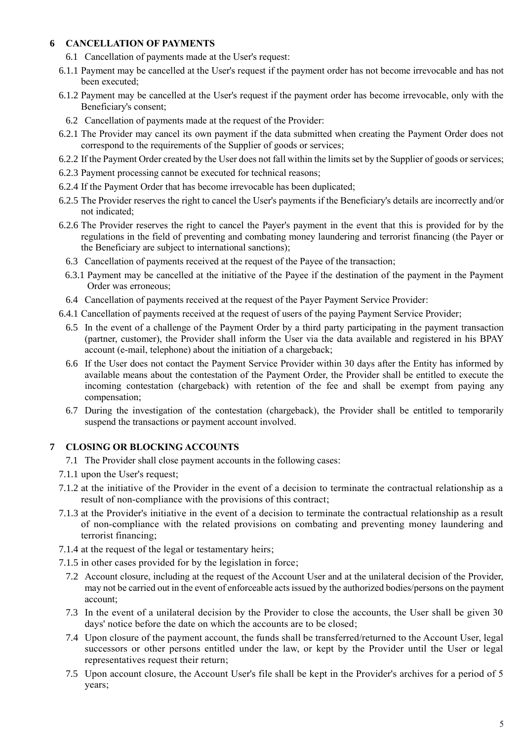## **6 CANCELLATION OF PAYMENTS**

- 6.1 Cancellation of payments made at the User's request:
- 6.1.1 Payment may be cancelled at the User's request if the payment order has not become irrevocable and has not been executed;
- 6.1.2 Payment may be cancelled at the User's request if the payment order has become irrevocable, only with the Beneficiary's consent;
	- 6.2 Cancellation of payments made at the request of the Provider:
- 6.2.1 The Provider may cancel its own payment if the data submitted when creating the Payment Order does not correspond to the requirements of the Supplier of goods or services;
- 6.2.2 If the Payment Order created by the User does not fall within the limits set by the Supplier of goods or services;
- 6.2.3 Payment processing cannot be executed for technical reasons;
- 6.2.4 If the Payment Order that has become irrevocable has been duplicated;
- 6.2.5 The Provider reserves the right to cancel the User's payments if the Beneficiary's details are incorrectly and/or not indicated;
- 6.2.6 The Provider reserves the right to cancel the Payer's payment in the event that this is provided for by the regulations in the field of preventing and combating money laundering and terrorist financing (the Payer or the Beneficiary are subject to international sanctions);
	- 6.3 Cancellation of payments received at the request of the Payee of the transaction;
	- 6.3.1 Payment may be cancelled at the initiative of the Payee if the destination of the payment in the Payment Order was erroneous;
	- 6.4 Cancellation of payments received at the request of the Payer Payment Service Provider:
- 6.4.1 Cancellation of payments received at the request of users of the paying Payment Service Provider;
	- 6.5 In the event of a challenge of the Payment Order by a third party participating in the payment transaction (partner, customer), the Provider shall inform the User via the data available and registered in his BPAY account (e-mail, telephone) about the initiation of a chargeback;
	- 6.6 If the User does not contact the Payment Service Provider within 30 days after the Entity has informed by available means about the contestation of the Payment Order, the Provider shall be entitled to execute the incoming contestation (chargeback) with retention of the fee and shall be exempt from paying any compensation;
	- 6.7 During the investigation of the contestation (chargeback), the Provider shall be entitled to temporarily suspend the transactions or payment account involved.

#### **7 CLOSING OR BLOCKING ACCOUNTS**

- 7.1 The Provider shall close payment accounts in the following cases:
- 7.1.1 upon the User's request;
- 7.1.2 at the initiative of the Provider in the event of a decision to terminate the contractual relationship as a result of non-compliance with the provisions of this contract;
- 7.1.3 at the Provider's initiative in the event of a decision to terminate the contractual relationship as a result of non-compliance with the related provisions on combating and preventing money laundering and terrorist financing;
- 7.1.4 at the request of the legal or testamentary heirs;
- 7.1.5 in other cases provided for by the legislation in force;
	- 7.2 Account closure, including at the request of the Account User and at the unilateral decision of the Provider, may not be carried out in the event of enforceable acts issued by the authorized bodies/persons on the payment account;
	- 7.3 In the event of a unilateral decision by the Provider to close the accounts, the User shall be given 30 days' notice before the date on which the accounts are to be closed;
	- 7.4 Upon closure of the payment account, the funds shall be transferred/returned to the Account User, legal successors or other persons entitled under the law, or kept by the Provider until the User or legal representatives request their return;
	- 7.5 Upon account closure, the Account User's file shall be kept in the Provider's archives for a period of 5 years;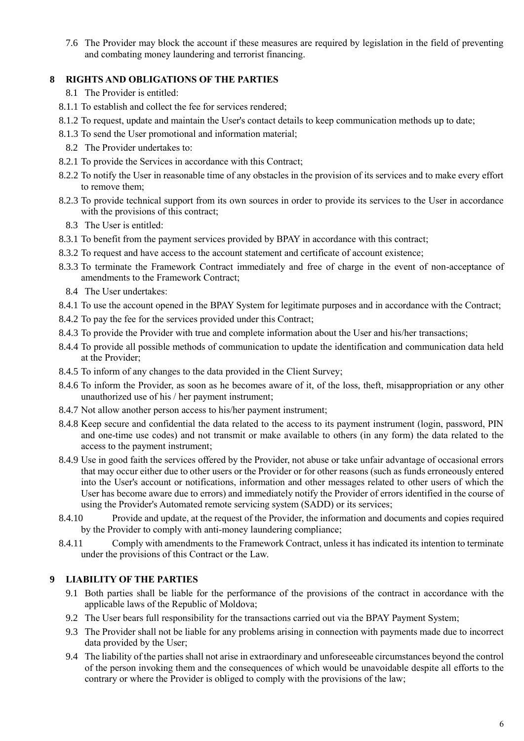7.6 The Provider may block the account if these measures are required by legislation in the field of preventing and combating money laundering and terrorist financing.

#### **8 RIGHTS AND OBLIGATIONS OF THE PARTIES**

- 8.1 The Provider is entitled:
- 8.1.1 To establish and collect the fee for services rendered;
- 8.1.2 To request, update and maintain the User's contact details to keep communication methods up to date;
- 8.1.3 To send the User promotional and information material;
	- 8.2 The Provider undertakes to:
- 8.2.1 To provide the Services in accordance with this Contract;
- 8.2.2 To notify the User in reasonable time of any obstacles in the provision of its services and to make every effort to remove them;
- 8.2.3 To provide technical support from its own sources in order to provide its services to the User in accordance with the provisions of this contract:
	- 8.3 The User is entitled:
- 8.3.1 To benefit from the payment services provided by BPAY in accordance with this contract;
- 8.3.2 To request and have access to the account statement and certificate of account existence;
- 8.3.3 To terminate the Framework Contract immediately and free of charge in the event of non-acceptance of amendments to the Framework Contract;
	- 8.4 The User undertakes:
- 8.4.1 To use the account opened in the BPAY System for legitimate purposes and in accordance with the Contract;
- 8.4.2 To pay the fee for the services provided under this Contract;
- 8.4.3 To provide the Provider with true and complete information about the User and his/her transactions;
- 8.4.4 To provide all possible methods of communication to update the identification and communication data held at the Provider;
- 8.4.5 To inform of any changes to the data provided in the Client Survey;
- 8.4.6 To inform the Provider, as soon as he becomes aware of it, of the loss, theft, misappropriation or any other unauthorized use of his / her payment instrument;
- 8.4.7 Not allow another person access to his/her payment instrument;
- 8.4.8 Keep secure and confidential the data related to the access to its payment instrument (login, password, PIN and one-time use codes) and not transmit or make available to others (in any form) the data related to the access to the payment instrument;
- 8.4.9 Use in good faith the services offered by the Provider, not abuse or take unfair advantage of occasional errors that may occur either due to other users or the Provider or for other reasons (such as funds erroneously entered into the User's account or notifications, information and other messages related to other users of which the User has become aware due to errors) and immediately notify the Provider of errors identified in the course of using the Provider's Automated remote servicing system (SADD) or its services;
- 8.4.10 Provide and update, at the request of the Provider, the information and documents and copies required by the Provider to comply with anti-money laundering compliance;
- 8.4.11 Comply with amendments to the Framework Contract, unless it has indicated its intention to terminate under the provisions of this Contract or the Law.

#### **9 LIABILITY OF THE PARTIES**

- 9.1 Both parties shall be liable for the performance of the provisions of the contract in accordance with the applicable laws of the Republic of Moldova;
- 9.2 The User bears full responsibility for the transactions carried out via the BPAY Payment System;
- 9.3 The Provider shall not be liable for any problems arising in connection with payments made due to incorrect data provided by the User;
- 9.4 The liability of the parties shall not arise in extraordinary and unforeseeable circumstances beyond the control of the person invoking them and the consequences of which would be unavoidable despite all efforts to the contrary or where the Provider is obliged to comply with the provisions of the law;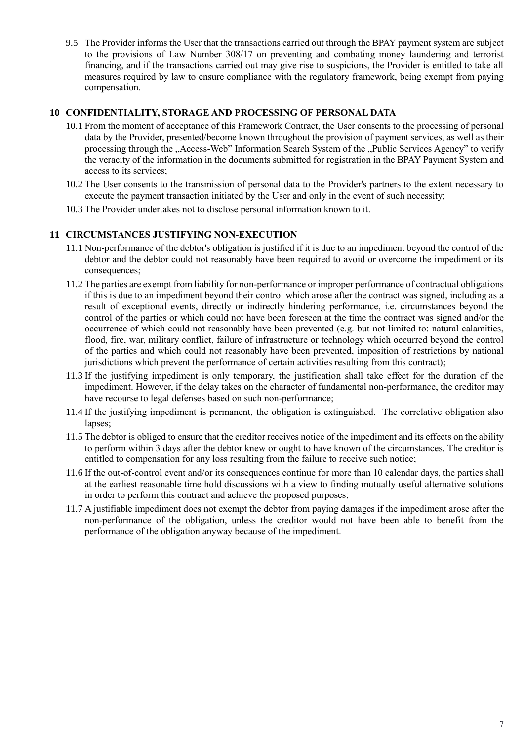9.5 The Provider informs the User that the transactions carried out through the BPAY payment system are subject to the provisions of Law Number 308/17 on preventing and combating money laundering and terrorist financing, and if the transactions carried out may give rise to suspicions, the Provider is entitled to take all measures required by law to ensure compliance with the regulatory framework, being exempt from paying compensation.

#### **10 CONFIDENTIALITY, STORAGE AND PROCESSING OF PERSONAL DATA**

- 10.1 From the moment of acceptance of this Framework Contract, the User consents to the processing of personal data by the Provider, presented/become known throughout the provision of payment services, as well as their processing through the "Access-Web" Information Search System of the "Public Services Agency" to verify the veracity of the information in the documents submitted for registration in the BPAY Payment System and access to its services;
- 10.2 The User consents to the transmission of personal data to the Provider's partners to the extent necessary to execute the payment transaction initiated by the User and only in the event of such necessity;
- 10.3 The Provider undertakes not to disclose personal information known to it.

#### **11 CIRCUMSTANCES JUSTIFYING NON-EXECUTION**

- 11.1 Non-performance of the debtor's obligation is justified if it is due to an impediment beyond the control of the debtor and the debtor could not reasonably have been required to avoid or overcome the impediment or its consequences;
- 11.2 The parties are exempt from liability for non-performance or improper performance of contractual obligations if this is due to an impediment beyond their control which arose after the contract was signed, including as a result of exceptional events, directly or indirectly hindering performance, i.e. circumstances beyond the control of the parties or which could not have been foreseen at the time the contract was signed and/or the occurrence of which could not reasonably have been prevented (e.g. but not limited to: natural calamities, flood, fire, war, military conflict, failure of infrastructure or technology which occurred beyond the control of the parties and which could not reasonably have been prevented, imposition of restrictions by national jurisdictions which prevent the performance of certain activities resulting from this contract);
- 11.3 If the justifying impediment is only temporary, the justification shall take effect for the duration of the impediment. However, if the delay takes on the character of fundamental non-performance, the creditor may have recourse to legal defenses based on such non-performance;
- 11.4 If the justifying impediment is permanent, the obligation is extinguished. The correlative obligation also lapses;
- 11.5 The debtor is obliged to ensure that the creditor receives notice of the impediment and its effects on the ability to perform within 3 days after the debtor knew or ought to have known of the circumstances. The creditor is entitled to compensation for any loss resulting from the failure to receive such notice;
- 11.6 If the out-of-control event and/or its consequences continue for more than 10 calendar days, the parties shall at the earliest reasonable time hold discussions with a view to finding mutually useful alternative solutions in order to perform this contract and achieve the proposed purposes;
- 11.7 A justifiable impediment does not exempt the debtor from paying damages if the impediment arose after the non-performance of the obligation, unless the creditor would not have been able to benefit from the performance of the obligation anyway because of the impediment.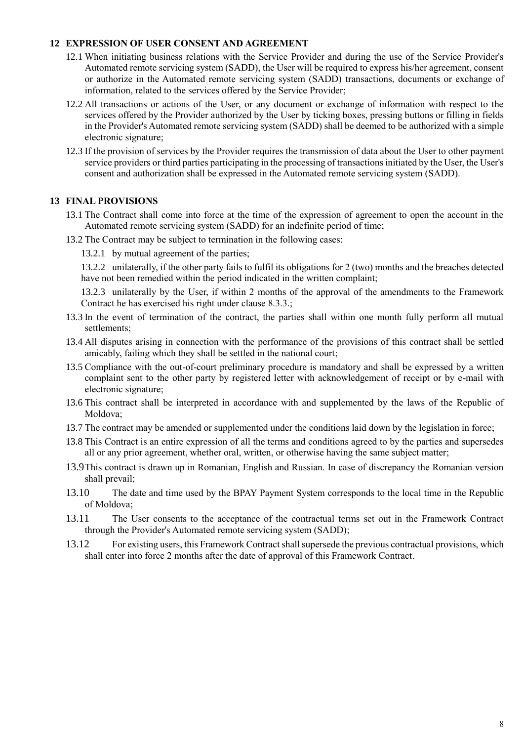#### **12 EXPRESSION OF USER CONSENT AND AGREEMENT**

- 12.1 When initiating business relations with the Service Provider and during the use of the Service Provider's Automated remote servicing system (SADD), the User will be required to express his/her agreement, consent or authorize in the Automated remote servicing system (SADD) transactions, documents or exchange of information, related to the services offered by the Service Provider;
- 12.2 All transactions or actions of the User, or any document or exchange of information with respect to the services offered by the Provider authorized by the User by ticking boxes, pressing buttons or filling in fields in the Provider's Automated remote servicing system (SADD) shall be deemed to be authorized with a simple electronic signature;
- 12.3 If the provision of services by the Provider requires the transmission of data about the User to other payment service providers or third parties participating in the processing of transactions initiated by the User, the User's consent and authorization shall be expressed in the Automated remote servicing system (SADD).

#### **13 FINAL PROVISIONS**

- 13.1 The Contract shall come into force at the time of the expression of agreement to open the account in the Automated remote servicing system (SADD) for an indefinite period of time;
- 13.2 The Contract may be subject to termination in the following cases:
	- 13.2.1 by mutual agreement of the parties;

13.2.2 unilaterally, if the other party fails to fulfil its obligations for 2 (two) months and the breaches detected have not been remedied within the period indicated in the written complaint;

13.2.3 unilaterally by the User, if within 2 months of the approval of the amendments to the Framework Contract he has exercised his right under clause 8.3.3.;

- 13.3 In the event of termination of the contract, the parties shall within one month fully perform all mutual settlements;
- 13.4 All disputes arising in connection with the performance of the provisions of this contract shall be settled amicably, failing which they shall be settled in the national court;
- 13.5 Compliance with the out-of-court preliminary procedure is mandatory and shall be expressed by a written complaint sent to the other party by registered letter with acknowledgement of receipt or by e-mail with electronic signature;
- 13.6 This contract shall be interpreted in accordance with and supplemented by the laws of the Republic of Moldova;
- 13.7 The contract may be amended or supplemented under the conditions laid down by the legislation in force;
- 13.8 This Contract is an entire expression of all the terms and conditions agreed to by the parties and supersedes all or any prior agreement, whether oral, written, or otherwise having the same subject matter;
- 13.9This contract is drawn up in Romanian, English and Russian. In case of discrepancy the Romanian version shall prevail;
- 13.10 The date and time used by the BPAY Payment System corresponds to the local time in the Republic of Moldova;
- 13.11 The User consents to the acceptance of the contractual terms set out in the Framework Contract through the Provider's Automated remote servicing system (SADD);
- 13.12 For existing users, this Framework Contract shall supersede the previous contractual provisions, which shall enter into force 2 months after the date of approval of this Framework Contract.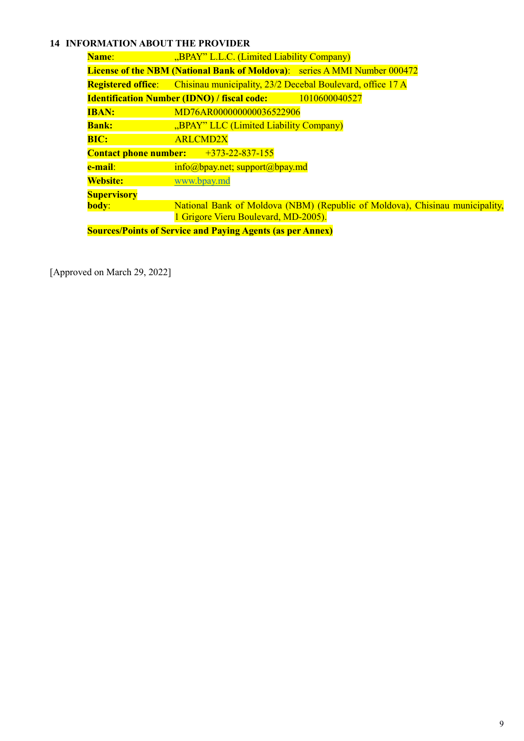# **14 INFORMATION ABOUT THE PROVIDER**

| Name:                                                             | "BPAY" L.L.C. (Limited Liability Company)                                            |
|-------------------------------------------------------------------|--------------------------------------------------------------------------------------|
|                                                                   | <b>License of the NBM (National Bank of Moldova):</b> series A MMI Number 000472     |
|                                                                   | <b>Registered office:</b> Chisinau municipality, 23/2 Decebal Boulevard, office 17 A |
|                                                                   | <b>Identification Number (IDNO) / fiscal code:</b><br>1010600040527                  |
| <b>IBAN:</b>                                                      | MD76AR000000000036522906                                                             |
| <b>Bank:</b>                                                      | "BPAY" LLC (Limited Liability Company)                                               |
| <b>BIC:</b>                                                       | <b>ARLCMD2X</b>                                                                      |
|                                                                   | Contact phone number: $+373-22-837-155$                                              |
| e-mail:                                                           | $info(\omega)$ bpay.net; support $(\omega)$ bpay.md                                  |
| <b>Website:</b>                                                   | www.bpay.md                                                                          |
| <b>Supervisory</b>                                                |                                                                                      |
| body:                                                             | National Bank of Moldova (NBM) (Republic of Moldova), Chisinau municipality,         |
|                                                                   | 1 Grigore Vieru Boulevard, MD-2005).                                                 |
| <b>Sources/Points of Service and Paying Agents (as per Annex)</b> |                                                                                      |

[Approved on March 29, 2022]